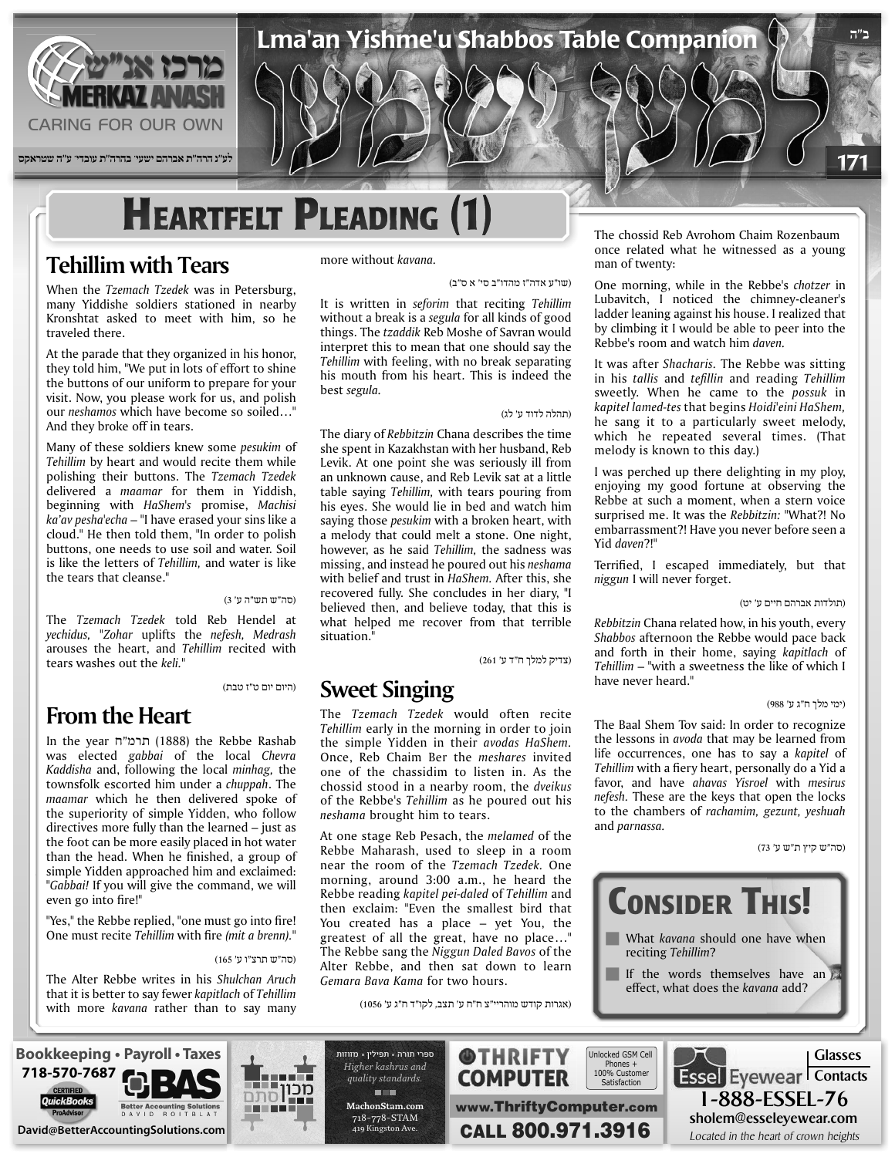

**לע"נ הרה"ת אברהם ישעי' בהרה"ת עובדי' ע"ה שטראקס**

# **HEARTFELT PLEADING (1)**

## **Tehillim with Tears**

When the *Tzemach Tzedek* was in Petersburg, many Yiddishe soldiers stationed in nearby Kronshtat asked to meet with him, so he traveled there.

At the parade that they organized in his honor, they told him, "We put in lots of effort to shine the buttons of our uniform to prepare for your visit. Now, you please work for us, and polish our *neshamos* which have become so soiled..." And they broke off in tears.

Many of these soldiers knew some *pesukim* of Tehillim by heart and would recite them while polishing their buttons. The Tzemach Tzedek delivered a *maamar* for them in Yiddish, beginning with *HaShem's* promise, Machisi ka'av pesha'echa – "I have erased your sins like a cloud." He then told them, "In order to polish buttons, one needs to use soil and water. Soil is like the letters of *Tehillim*, and water is like the tears that cleanse."

#### (סה"ש תש"ה ע' 3)

The Tzemach Tzedek told Reb Hendel at *yechidus, "Zohar uplifts the nefesh, Medrash* arouses the heart, and *Tehillim* recited with tears washes out the keli."

(היום יום ט"ז טבת)

## **From the Heart**

In the year תרמ"ח (1888) the Rebbe Rashab was elected gabbai of the local Chevra Kaddisha and, following the local minhag, the townsfolk escorted him under a *chuppah*. The maamar which he then delivered spoke of the superiority of simple Yidden, who follow directives more fully than the learned  $-$  just as the foot can be more easily placed in hot water than the head. When he finished, a group of simple Yidden approached him and exclaimed: "Gabbai! If you will give the command, we will even go into fire!"

"Yes," the Rebbe replied, "one must go into fire! One must recite *Tehillim* with fire (mit a brenn)."

#### (סה"ש תרצ"ו ע' 165)

The Alter Rebbe writes in his Shulchan Aruch that it is better to say fewer kapitlach of *Tehillim* with more kavana rather than to say many more without kavana.

(שו"ע אדה"ז מהדו"ב סי' א ס"ב)

Lma'an Yishme'u Shabbos Table Companion

It is written in *seforim* that reciting Tehillim without a break is a segula for all kinds of good things. The *tzaddik* Reb Moshe of Savran would interpret this to mean that one should say the Tehillim with feeling, with no break separating his mouth from his heart. This is indeed the best segula.

#### (תהלה לדוד ע' לג)

The diary of Rebbitzin Chana describes the time she spent in Kazakhstan with her husband, Reb Levik. At one point she was seriously ill from an unknown cause, and Reb Levik sat at a little table saying *Tehillim*, with tears pouring from his eyes. She would lie in bed and watch him saying those *pesukim* with a broken heart, with a melody that could melt a stone. One night, however, as he said *Tehillim*, the sadness was missing, and instead he poured out his *neshama* with belief and trust in HaShem. After this, she recovered fully. She concludes in her diary, "I believed then, and believe today, that this is what helped me recover from that terrible situation."

(צדיק למלך ח"ד ע' 261)

### **Sweet Singing**

The Tzemach Tzedek would often recite Tehillim early in the morning in order to join the simple Yidden in their avodas HaShem. Once, Reb Chaim Ber the *meshares* invited one of the chassidim to listen in. As the chossid stood in a nearby room, the dveikus of the Rebbe's Tehillim as he poured out his  $neshama$  brought him to tears.

At one stage Reb Pesach, the *melamed* of the Rebbe Maharash, used to sleep in a room near the room of the Tzemach Tzedek. One morning, around 3:00 a.m., he heard the Rebbe reading *kapitel pei-daled* of *Tehillim* and then exclaim: "Even the smallest bird that You created has a place  $-$  yet You, the greatest of all the great, have no place..." The Rebbe sang the *Niggun Daled Bavos* of the Alter Rebbe, and then sat down to learn Gemara Bava Kama for *two* hours.

(אגרות קודש מוהריי"צ ח"ח ע' תצב, לקו"ד ח"ג ע' 1056)

The chossid Reb Avrohom Chaim Rozenbaum once related what he witnessed as a young man of twenty:

One morning, while in the Rebbe's *chotzer* in Lubavitch, I noticed the chimney-cleaner's ladder leaning against his house. I realized that by climbing it I would be able to peer into the Rebbe's room and watch him *daven*.

It was after *Shacharis*. The Rebbe was sitting in his *tallis* and *tefillin* and *reading Tehillim* sweetly. When he came to the possuk in kapitel lamed-tes that begins Hoidi'eini HaShem, he sang it to a particularly sweet melody. which he repeated several times. (That melody is known to this day.)

I was perched up there delighting in my ploy, enjoying my good fortune at observing the Rebbe at such a moment, when a stern voice surprised me. It was the *Rebbitzin*: "What?! No embarrassment?! Have you never before seen a Yid daven?!"

Terrified, I escaped immediately, but that  $n$ iggun I will never forget.

(תולדות אברהם חיים ע' יט)

**ב"ה**

171

Rebbitzin Chana related how, in his youth, every Shabbos afternoon the Rebbe would pace back and forth in their home, saying kapitlach of Tehillim – "with a sweetness the like of which I have never heard."

#### (ימי מלך ח"ג ע' 988)

The Baal Shem Tov said: In order to recognize the lessons in *avoda* that may be learned from life occurrences, one has to say a kapitel of Tehillim with a fiery heart, personally do a Yid a favor, and have *ahavas Yisroel* with *mesirus* nefesh. These are the keys that open the locks to the chambers of rachamim, gezunt, yeshuah and *parnassa*.

(סה"ש קיץ ת"ש ע' 73)